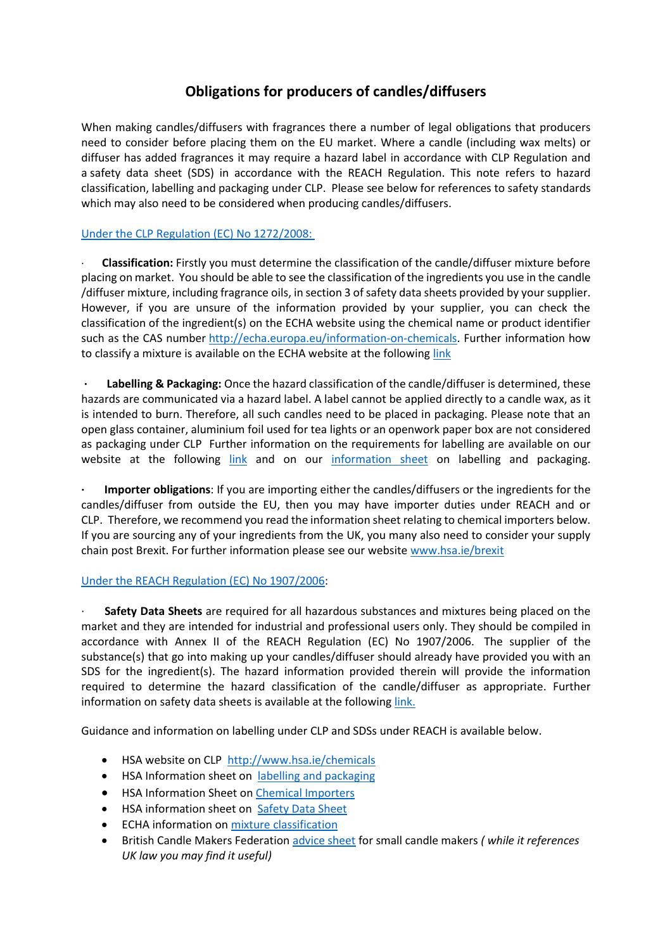## **Obligations for producers of candles/diffusers**

When making candles/diffusers with fragrances there a number of legal obligations that producers need to consider before placing them on the EU market. Where a candle (including wax melts) or diffuser has added fragrances it may require a hazard label in accordance with CLP Regulation and a safety data sheet (SDS) in accordance with the REACH Regulation. This note refers to hazard classification, labelling and packaging under CLP. Please see below for references to safety standards which may also need to be considered when producing candles/diffusers.

## [Under the CLP Regulation \(EC\) No 1272/2008:](https://www.echa.europa.eu/regulations/clp/understanding-clp)

· **Classification:** Firstly you must determine the classification of the candle/diffuser mixture before placing on market. You should be able to see the classification of the ingredients you use in the candle /diffuser mixture, including fragrance oils, in section 3 of safety data sheets provided by your supplier. However, if you are unsure of the information provided by your supplier, you can check the classification of the ingredient(s) on the ECHA website using the chemical name or product identifier such as the CAS number [http://echa.europa.eu/information-on-chemicals.](http://echa.europa.eu/information-on-chemicals) Further information how to classify a mixture is available on the ECHA website at the followin[g link](https://echa.europa.eu/support/mixture-classification/where-do-i-start)

**· Labelling & Packaging:** Once the hazard classification of the candle/diffuser is determined, these hazards are communicated via a hazard label. A label cannot be applied directly to a candle wax, as it is intended to burn. Therefore, all such candles need to be placed in packaging. Please note that an open glass container, aluminium foil used for tea lights or an openwork paper box are not considered as packaging under CLP Further information on the requirements for labelling are available on our website at the following [link](https://www.hsa.ie/eng/your_industry/chemicals/legislation_enforcement/classification_and_labelling/labelling/) and on our [information sheet](https://www.hsa.ie/eng/Publications_and_Forms/Publications/Chemical_and_Hazardous_Substances/CLP_info_sheet.pdf) on labelling and packaging.

**· Importer obligations**: If you are importing either the candles/diffusers or the ingredients for the candles/diffuser from outside the EU, then you may have importer duties under REACH and or CLP. Therefore, we recommend you read the information sheet relating to chemical importers below. If you are sourcing any of your ingredients from the UK, you many also need to consider your supply chain post Brexit. For further information please see our websit[e www.hsa.ie/brexit](http://www.hsa.ie/brexit)

## [Under the REACH Regulation \(EC\) No 1907/2006:](https://www.echa.europa.eu/web/guest/regulations/reach/understanding-reach)

· **Safety Data Sheets** are required for all hazardous substances and mixtures being placed on the market and they are intended for industrial and professional users only. They should be compiled in accordance with Annex II of the REACH Regulation (EC) No 1907/2006. The supplier of the substance(s) that go into making up your candles/diffuser should already have provided you with an SDS for the ingredient(s). The hazard information provided therein will provide the information required to determine the hazard classification of the candle/diffuser as appropriate. Further information on safety data sheets is available at the followin[g link.](https://www.hsa.ie/eng/Your_Industry/Chemicals/Legislation_Enforcement/REACH/Safety_Data_Sheets/)

Guidance and information on labelling under CLP and SDSs under REACH is available below.

- HSA website on CLP <http://www.hsa.ie/chemicals>
- HSA Information sheet on [labelling and packaging](http://www.hsa.ie/eng/Publications_and_Forms/Publications/Chemical_and_Hazardous_Substances/Hazard_Labelling_Packaging_according_to_the_CLP_Regulation)
- **HSA Information Sheet o[n Chemical Importers](http://www.hsa.ie/eng/Publications_and_Forms/Publications/Chemical_and_Hazardous_Substances/Chemical_Importers_Information_Sheet.html)**
- HSA information sheet on [Safety Data Sheet](http://www.hsa.ie/eng/Publications_and_Forms/Publications/Chemical_and_Hazardous_Substances/Safety_Data_Sheet_SDS_Information_Sheet.25430.shortcut.html)
- **•** ECHA information o[n mixture classification](https://www.echa.europa.eu/support/mixture-classification)
- British Candle Makers Federation [advice sheet](http://www.britishcandles.org/documents/www.britishcandles.org/Trading_Standards/candlesadvicesheet(v5).pdf) for small candle makers *( while it references UK law you may find it useful)*